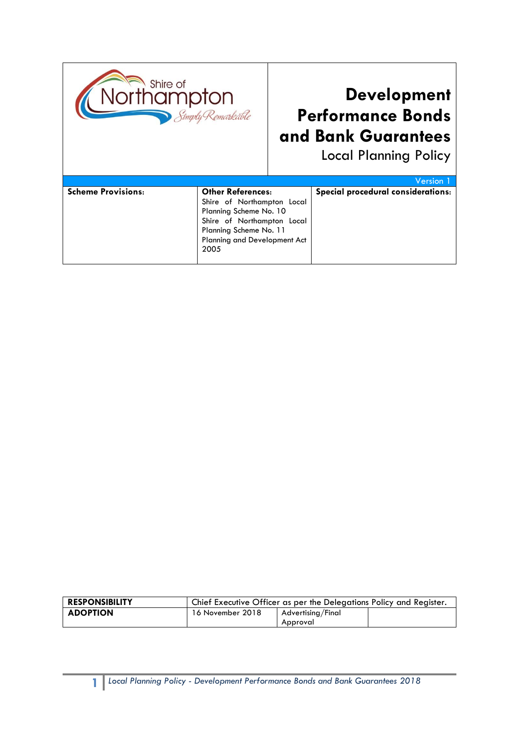

## **Development Performance Bonds and Bank Guarantees**

Local Planning Policy

|                           |                              | Version 1                          |
|---------------------------|------------------------------|------------------------------------|
| <b>Scheme Provisions:</b> | <b>Other References:</b>     | Special procedural considerations: |
|                           | Shire of Northampton Local   |                                    |
|                           | Planning Scheme No. 10       |                                    |
|                           | Shire of Northampton Local   |                                    |
|                           | Planning Scheme No. 11       |                                    |
|                           | Planning and Development Act |                                    |
|                           | 2005                         |                                    |
|                           |                              |                                    |

| <b>RESPONSIBILITY</b> | Chief Executive Officer as per the Delegations Policy and Register. |                   |  |
|-----------------------|---------------------------------------------------------------------|-------------------|--|
| <b>ADOPTION</b>       | 16 November 2018                                                    | Advertising/Final |  |
|                       |                                                                     | Approval          |  |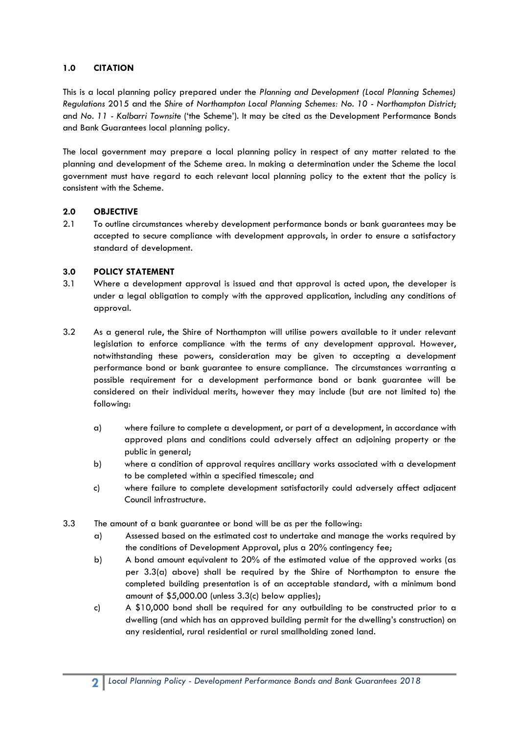## **1.0 CITATION**

This is a local planning policy prepared under the *Planning and Development (Local Planning Schemes) Regulations* 2015 and the *Shire of Northampton Local Planning Schemes: No. 10 - Northampton District*; and *No. 11 - Kalbarri Townsite* ('the Scheme'). It may be cited as the Development Performance Bonds and Bank Guarantees local planning policy.

The local government may prepare a local planning policy in respect of any matter related to the planning and development of the Scheme area. In making a determination under the Scheme the local government must have regard to each relevant local planning policy to the extent that the policy is consistent with the Scheme.

## **2.0 OBJECTIVE**

2.1 To outline circumstances whereby development performance bonds or bank guarantees may be accepted to secure compliance with development approvals, in order to ensure a satisfactory standard of development.

## **3.0 POLICY STATEMENT**

- 3.1 Where a development approval is issued and that approval is acted upon, the developer is under a legal obligation to comply with the approved application, including any conditions of approval.
- 3.2 As a general rule, the Shire of Northampton will utilise powers available to it under relevant legislation to enforce compliance with the terms of any development approval. However, notwithstanding these powers, consideration may be given to accepting a development performance bond or bank guarantee to ensure compliance. The circumstances warranting a possible requirement for a development performance bond or bank guarantee will be considered on their individual merits, however they may include (but are not limited to) the following:
	- a) where failure to complete a development, or part of a development, in accordance with approved plans and conditions could adversely affect an adjoining property or the public in general;
	- b) where a condition of approval requires ancillary works associated with a development to be completed within a specified timescale; and
	- c) where failure to complete development satisfactorily could adversely affect adjacent Council infrastructure.
- 3.3 The amount of a bank guarantee or bond will be as per the following:
	- a) Assessed based on the estimated cost to undertake and manage the works required by the conditions of Development Approval, plus a 20% contingency fee;
	- b) A bond amount equivalent to 20% of the estimated value of the approved works (as per 3.3(a) above) shall be required by the Shire of Northampton to ensure the completed building presentation is of an acceptable standard, with a minimum bond amount of \$5,000.00 (unless 3.3(c) below applies);
	- c) A \$10,000 bond shall be required for any outbuilding to be constructed prior to a dwelling (and which has an approved building permit for the dwelling's construction) on any residential, rural residential or rural smallholding zoned land.